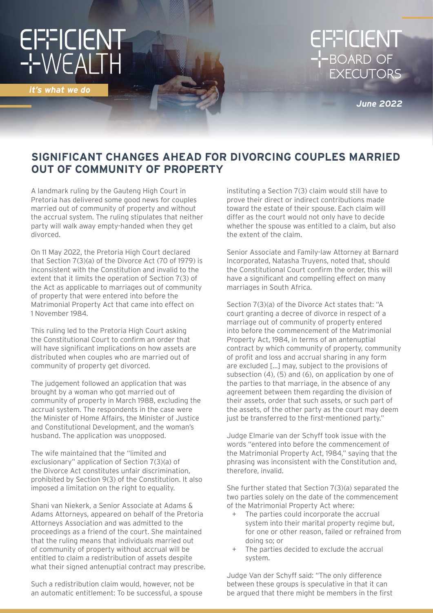# EFFICIENT<br>-'-WEALTH

*it's what we do*

# EFFICIENT<br>--BOARD OF<br>EXECUTORS

*June 2022*

## **SIGNIFICANT CHANGES AHEAD FOR DIVORCING COUPLES MARRIED OUT OF COMMUNITY OF PROPERTY**

A landmark ruling by the Gauteng High Court in Pretoria has delivered some good news for couples married out of community of property and without the accrual system. The ruling stipulates that neither party will walk away empty-handed when they get divorced.

On 11 May 2022, the Pretoria High Court declared that Section 7(3)(a) of the Divorce Act (70 of 1979) is inconsistent with the Constitution and invalid to the extent that it limits the operation of Section 7(3) of the Act as applicable to marriages out of community of property that were entered into before the Matrimonial Property Act that came into effect on 1 November 1984.

This ruling led to the Pretoria High Court asking the Constitutional Court to confirm an order that will have significant implications on how assets are distributed when couples who are married out of community of property get divorced.

The judgement followed an application that was brought by a woman who got married out of community of property in March 1988, excluding the accrual system. The respondents in the case were the Minister of Home Affairs, the Minister of Justice and Constitutional Development, and the woman's husband. The application was unopposed.

The wife maintained that the "limited and exclusionary" application of Section 7(3)(a) of the Divorce Act constitutes unfair discrimination, prohibited by Section 9(3) of the Constitution. It also imposed a limitation on the right to equality.

Shani van Niekerk, a Senior Associate at Adams & Adams Attorneys, appeared on behalf of the Pretoria Attorneys Association and was admitted to the proceedings as a friend of the court. She maintained that the ruling means that individuals married out of community of property without accrual will be entitled to claim a redistribution of assets despite what their signed antenuptial contract may prescribe.

Such a redistribution claim would, however, not be an automatic entitlement: To be successful, a spouse instituting a Section 7(3) claim would still have to prove their direct or indirect contributions made toward the estate of their spouse. Each claim will differ as the court would not only have to decide whether the spouse was entitled to a claim, but also the extent of the claim.

Senior Associate and Family-law Attorney at Barnard Incorporated, Natasha Truyens, noted that, should the Constitutional Court confirm the order, this will have a significant and compelling effect on many marriages in South Africa.

Section 7(3)(a) of the Divorce Act states that: "A court granting a decree of divorce in respect of a marriage out of community of property entered into before the commencement of the Matrimonial Property Act, 1984, in terms of an antenuptial contract by which community of property, community of profit and loss and accrual sharing in any form are excluded […] may, subject to the provisions of subsection (4), (5) and (6), on application by one of the parties to that marriage, in the absence of any agreement between them regarding the division of their assets, order that such assets, or such part of the assets, of the other party as the court may deem just be transferred to the first-mentioned party."

Judge Elmarie van der Schyff took issue with the words "entered into before the commencement of the Matrimonial Property Act, 1984," saying that the phrasing was inconsistent with the Constitution and, therefore, invalid.

She further stated that Section 7(3)(a) separated the two parties solely on the date of the commencement of the Matrimonial Property Act where:

- + The parties could incorporate the accrual system into their marital property regime but, for one or other reason, failed or refrained from doing so; or
- + The parties decided to exclude the accrual system.

Judge Van der Schyff said: "The only difference between these groups is speculative in that it can be argued that there might be members in the first